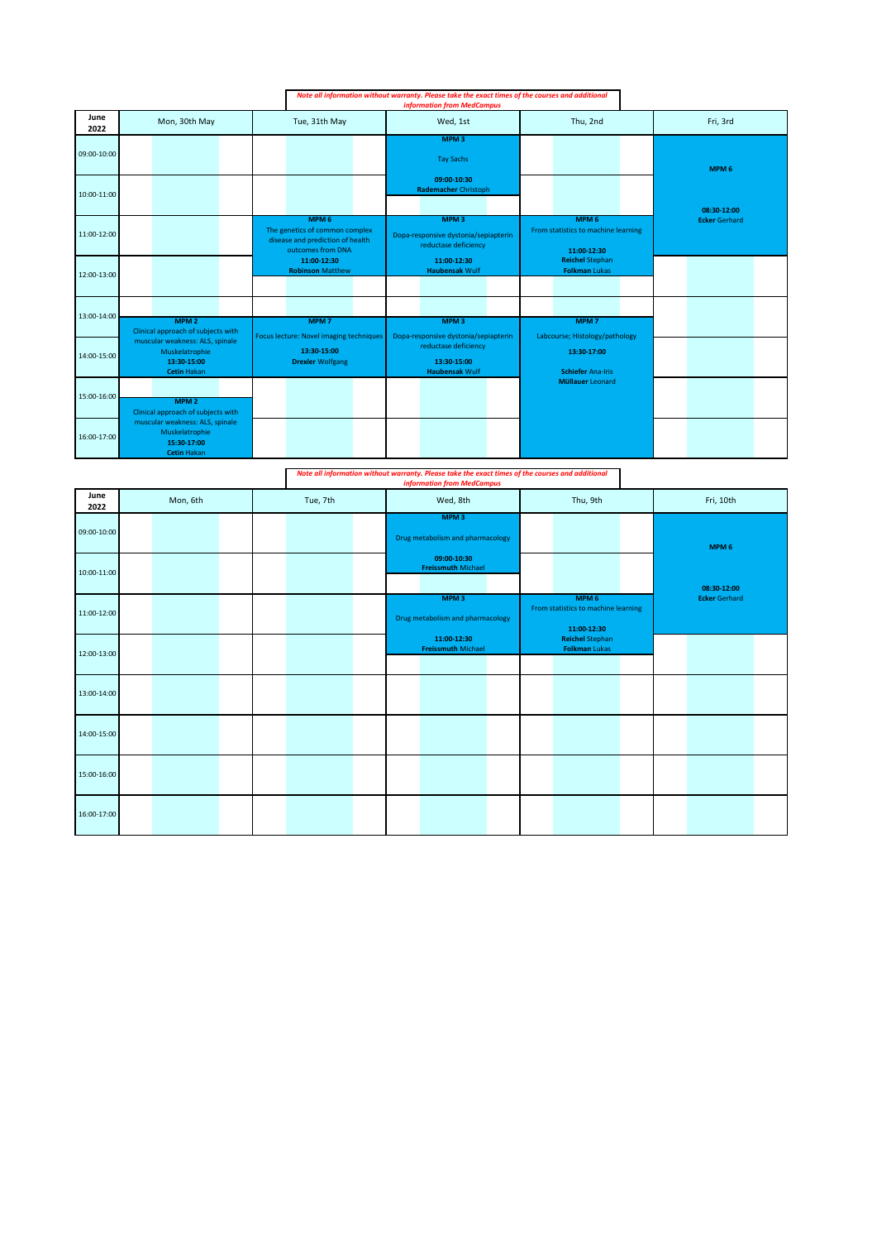|              |                                                                                        |               | Note all information without warranty. Please take the exact times of the courses and additional<br><b>information from MedCampus</b> |  |                                                                                                      |                                            |                                                                           |                                                                        |                                                |  |                  |                      |  |
|--------------|----------------------------------------------------------------------------------------|---------------|---------------------------------------------------------------------------------------------------------------------------------------|--|------------------------------------------------------------------------------------------------------|--------------------------------------------|---------------------------------------------------------------------------|------------------------------------------------------------------------|------------------------------------------------|--|------------------|----------------------|--|
| June<br>2022 | Mon, 30th May                                                                          | Tue, 31th May |                                                                                                                                       |  | Wed, 1st                                                                                             |                                            |                                                                           | Thu, 2nd                                                               |                                                |  | Fri, 3rd         |                      |  |
| 09:00-10:00  |                                                                                        |               |                                                                                                                                       |  | MPM <sub>3</sub><br><b>Tay Sachs</b>                                                                 |                                            |                                                                           |                                                                        |                                                |  | MPM <sub>6</sub> |                      |  |
| 10:00-11:00  |                                                                                        |               |                                                                                                                                       |  |                                                                                                      | 09:00-10:30<br><b>Rademacher Christoph</b> |                                                                           |                                                                        |                                                |  |                  | 08:30-12:00          |  |
| 11:00-12:00  |                                                                                        |               | MPM <sub>6</sub><br>The genetics of common complex<br>disease and prediction of health<br>outcomes from DNA                           |  | MPM <sub>3</sub><br>Dopa-responsive dystonia/sepiapterin<br>reductase deficiency                     |                                            |                                                                           | MPM <sub>6</sub><br>From statistics to machine learning<br>11:00-12:30 |                                                |  |                  | <b>Ecker Gerhard</b> |  |
| 12:00-13:00  |                                                                                        |               | 11:00-12:30<br><b>Robinson Matthew</b>                                                                                                |  |                                                                                                      | 11:00-12:30<br><b>Haubensak Wulf</b>       |                                                                           |                                                                        | <b>Reichel Stephan</b><br><b>Folkman Lukas</b> |  |                  |                      |  |
| 13:00-14:00  | MPM <sub>2</sub><br>Clinical approach of subjects with                                 |               | MPM <sub>7</sub>                                                                                                                      |  |                                                                                                      | MPM <sub>3</sub>                           |                                                                           |                                                                        | MPM <sub>7</sub>                               |  |                  |                      |  |
| 14:00-15:00  | muscular weakness: ALS, spinale<br>Muskelatrophie<br>13:30-15:00<br><b>Cetin Hakan</b> |               | Focus lecture: Novel imaging techniques<br>13:30-15:00<br><b>Drexler Wolfgang</b>                                                     |  | Dopa-responsive dystonia/sepiapterin<br>reductase deficiency<br>13:30-15:00<br><b>Haubensak Wulf</b> |                                            | Labcourse; Histology/pathology<br>13:30-17:00<br><b>Schiefer Ana-Iris</b> |                                                                        |                                                |  |                  |                      |  |
| 15:00-16:00  | MPM <sub>2</sub><br>Clinical approach of subjects with                                 |               |                                                                                                                                       |  |                                                                                                      |                                            |                                                                           |                                                                        | <b>Müllauer Leonard</b>                        |  |                  |                      |  |
| 16:00-17:00  | muscular weakness: ALS, spinale<br>Muskelatrophie<br>15:30-17:00<br><b>Cetin Hakan</b> |               |                                                                                                                                       |  |                                                                                                      |                                            |                                                                           |                                                                        |                                                |  |                  |                      |  |

|              |          |  |          |  | Note all information without warranty. Please take the exact times of the courses and additional<br><b>information from MedCampus</b> |                                                                                                  |          |  |                                                                        |           |  |                      |             |  |
|--------------|----------|--|----------|--|---------------------------------------------------------------------------------------------------------------------------------------|--------------------------------------------------------------------------------------------------|----------|--|------------------------------------------------------------------------|-----------|--|----------------------|-------------|--|
| June<br>2022 | Mon, 6th |  | Tue, 7th |  | Wed, 8th                                                                                                                              |                                                                                                  | Thu, 9th |  |                                                                        | Fri, 10th |  |                      |             |  |
| 09:00-10:00  |          |  |          |  |                                                                                                                                       | MPM <sub>3</sub><br>Drug metabolism and pharmacology<br>09:00-10:30<br><b>Freissmuth Michael</b> |          |  |                                                                        |           |  | MPM <sub>6</sub>     |             |  |
| 10:00-11:00  |          |  |          |  |                                                                                                                                       |                                                                                                  |          |  |                                                                        |           |  |                      | 08:30-12:00 |  |
| 11:00-12:00  |          |  |          |  |                                                                                                                                       | MPM <sub>3</sub><br>Drug metabolism and pharmacology                                             |          |  | MPM <sub>6</sub><br>From statistics to machine learning<br>11:00-12:30 |           |  | <b>Ecker Gerhard</b> |             |  |
| 12:00-13:00  |          |  |          |  |                                                                                                                                       | 11:00-12:30<br><b>Freissmuth Michael</b>                                                         |          |  | <b>Reichel Stephan</b><br><b>Folkman Lukas</b>                         |           |  |                      |             |  |
| 13:00-14:00  |          |  |          |  |                                                                                                                                       |                                                                                                  |          |  |                                                                        |           |  |                      |             |  |
| 14:00-15:00  |          |  |          |  |                                                                                                                                       |                                                                                                  |          |  |                                                                        |           |  |                      |             |  |
| 15:00-16:00  |          |  |          |  |                                                                                                                                       |                                                                                                  |          |  |                                                                        |           |  |                      |             |  |
| 16:00-17:00  |          |  |          |  |                                                                                                                                       |                                                                                                  |          |  |                                                                        |           |  |                      |             |  |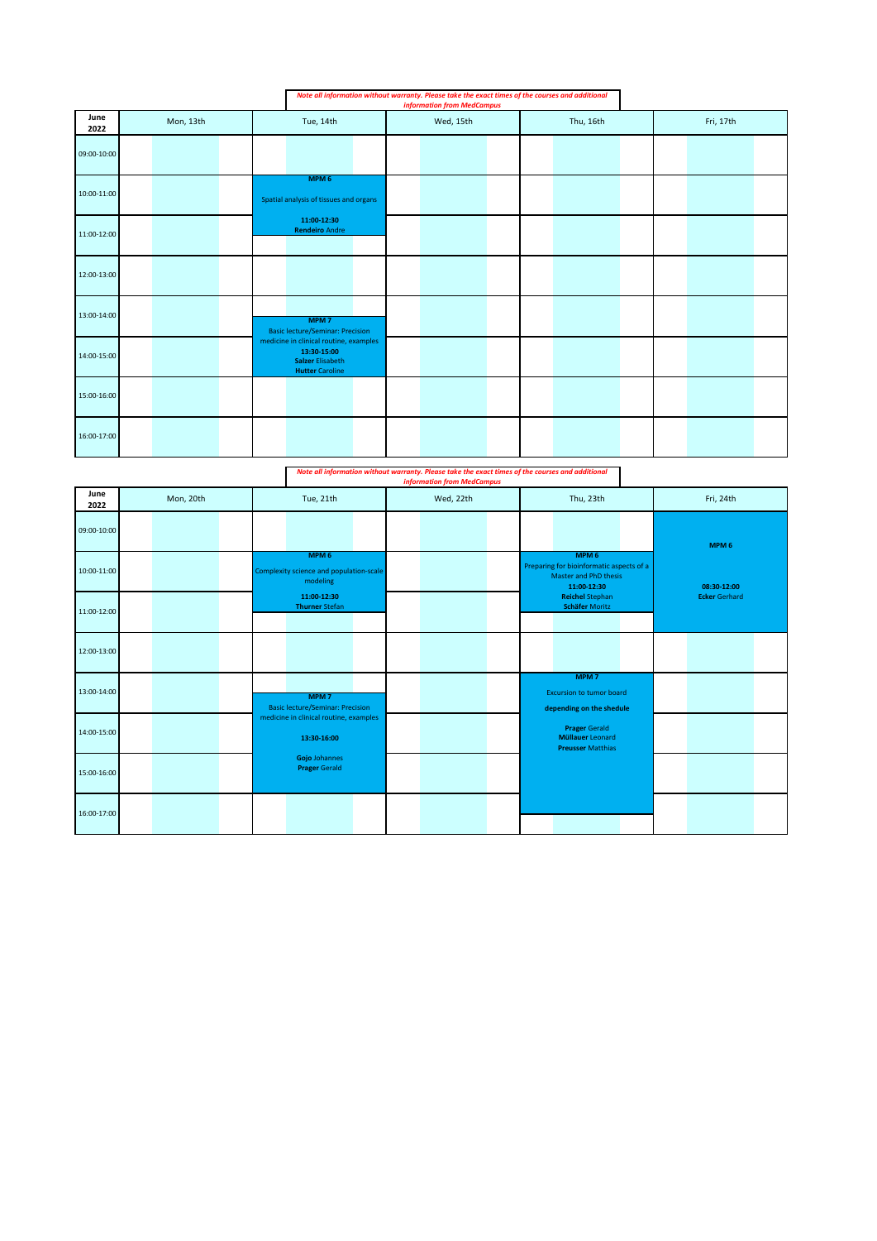|              |           |                                                                                                            | Note all information without warranty. Please take the exact times of the courses and additional<br><b>information from MedCampus</b> |           |           |  |  |
|--------------|-----------|------------------------------------------------------------------------------------------------------------|---------------------------------------------------------------------------------------------------------------------------------------|-----------|-----------|--|--|
| June<br>2022 | Mon, 13th | Tue, 14th                                                                                                  | Wed, 15th                                                                                                                             | Thu, 16th | Fri, 17th |  |  |
| 09:00-10:00  |           |                                                                                                            |                                                                                                                                       |           |           |  |  |
| 10:00-11:00  |           | MPM <sub>6</sub><br>Spatial analysis of tissues and organs                                                 |                                                                                                                                       |           |           |  |  |
| 11:00-12:00  |           | 11:00-12:30<br><b>Rendeiro Andre</b>                                                                       |                                                                                                                                       |           |           |  |  |
| 12:00-13:00  |           |                                                                                                            |                                                                                                                                       |           |           |  |  |
| 13:00-14:00  |           | MPM <sub>7</sub><br><b>Basic lecture/Seminar: Precision</b>                                                |                                                                                                                                       |           |           |  |  |
| 14:00-15:00  |           | medicine in clinical routine, examples<br>13:30-15:00<br><b>Salzer Elisabeth</b><br><b>Hutter Caroline</b> |                                                                                                                                       |           |           |  |  |
| 15:00-16:00  |           |                                                                                                            |                                                                                                                                       |           |           |  |  |
| 16:00-17:00  |           |                                                                                                            |                                                                                                                                       |           |           |  |  |
|              |           |                                                                                                            | Note all information without warranty. Please take the exact times of the courses and additional<br><b>information from MedCampus</b> |           |           |  |  |
| June         | Mon, 20th | Tue, 21th                                                                                                  | Wed, 22th                                                                                                                             | Thu, 23th | Fri, 24th |  |  |

| June<br>2022 | Mon, 20th | Tue, 21th                                                               | Wed, 22th | Thu, 23th                                                                                            | Fri, 24th            |
|--------------|-----------|-------------------------------------------------------------------------|-----------|------------------------------------------------------------------------------------------------------|----------------------|
| 09:00-10:00  |           |                                                                         |           |                                                                                                      | MPM <sub>6</sub>     |
| 10:00-11:00  |           | MPM <sub>6</sub><br>Complexity science and population-scale<br>modeling |           | MPM <sub>6</sub><br>Preparing for bioinformatic aspects of a<br>Master and PhD thesis<br>11:00-12:30 | 08:30-12:00          |
| 11:00-12:00  |           | 11:00-12:30<br><b>Thurner Stefan</b>                                    |           | <b>Reichel Stephan</b><br><b>Schäfer Moritz</b>                                                      | <b>Ecker Gerhard</b> |
| 12:00-13:00  |           |                                                                         |           |                                                                                                      |                      |
| 13:00-14:00  |           | MPM <sub>7</sub><br><b>Basic lecture/Seminar: Precision</b>             |           | MPM <sub>7</sub><br><b>Excursion to tumor board</b><br>depending on the shedule                      |                      |
| 14:00-15:00  |           | medicine in clinical routine, examples<br>13:30-16:00                   |           | <b>Prager Gerald</b><br><b>Müllauer Leonard</b><br><b>Preusser Matthias</b>                          |                      |
| 15:00-16:00  |           | Gojo Johannes<br><b>Prager Gerald</b>                                   |           |                                                                                                      |                      |
| 16:00-17:00  |           |                                                                         |           |                                                                                                      |                      |